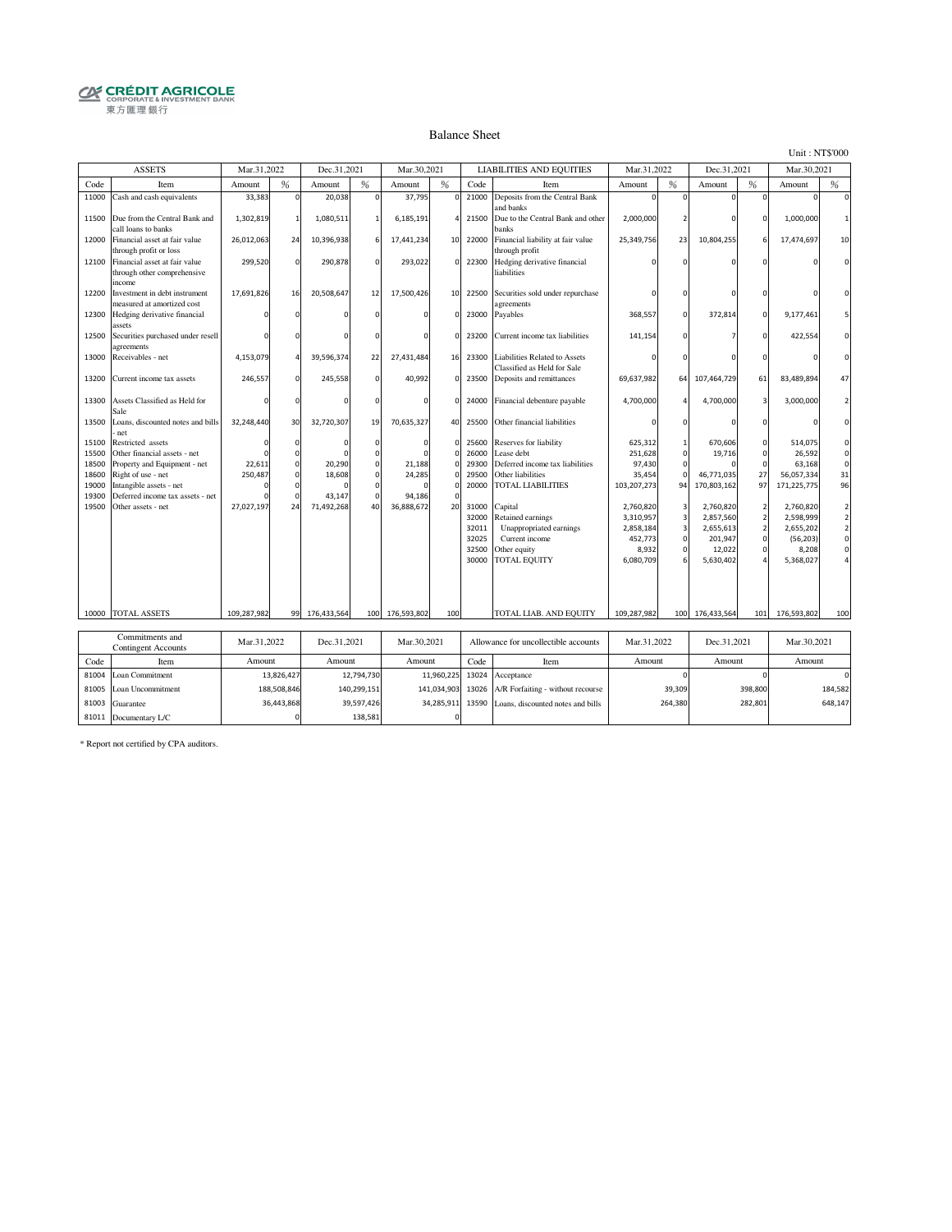# **CRÉDIT AGRICOLE**<br> **CORPORATE& INVESTMENT BANK**<br>
東方匯理銀行

#### Balance Sheet

Unit : NT\$'000

|       | <b>ASSETS</b>                                                          | Mar.31,2022 |             | Dec.31,2021 |             | Mar.30,2021 |                |       | <b>LIABILITIES AND EQUITIES</b>                                     | Mar.31,2022 |                | Dec.31,2021 |                          | Mar.30,2021 |                     |
|-------|------------------------------------------------------------------------|-------------|-------------|-------------|-------------|-------------|----------------|-------|---------------------------------------------------------------------|-------------|----------------|-------------|--------------------------|-------------|---------------------|
| Code  | Item                                                                   | Amount      | %           | Amount      | %           | Amount      | %              | Code  | Item                                                                | Amount      | %              | Amount      | %                        | Amount      | %                   |
| 11000 | Cash and cash equivalents                                              | 33,383      | $\Omega$    | 20,038      | $\Omega$    | 37,795      | 0              | 21000 | Deposits from the Central Bank<br>and banks                         |             |                |             | O                        |             | $\Omega$            |
| 11500 | Due from the Central Bank and<br>call loans to banks                   | 1,302,819   |             | 1,080,511   |             | 6,185,191   | $\overline{4}$ | 21500 | Due to the Central Bank and other<br>banks                          | 2,000,000   |                |             |                          | 1,000,000   | $\mathbf{1}$        |
| 12000 | Financial asset at fair value<br>through profit or loss                | 26,012,063  | 24          | 10,396,938  |             | 17,441,234  | 10             | 22000 | Financial liability at fair value<br>through profit                 | 25,349,756  | 23             | 10,804,255  |                          | 17,474,697  | 10                  |
| 12100 | Financial asset at fair value<br>through other comprehensive<br>income | 299,520     | $\Omega$    | 290,878     | $\Omega$    | 293,022     | $\circ$        | 22300 | Hedging derivative financial<br>liabilities                         |             |                |             |                          |             | $\Omega$            |
| 12200 | Investment in debt instrument<br>measured at amortized cost            | 17,691,826  | 16          | 20,508,647  | 12          | 17,500,426  | 10             | 22500 | Securities sold under repurchase<br>agreements                      |             |                |             |                          |             | $\Omega$            |
| 12300 | Hedging derivative financial<br>assets                                 |             |             |             |             | $\Omega$    | $\Omega$       | 23000 | Payables                                                            | 368,557     | $\Omega$       | 372,814     | $\mathbf{0}$             | 9,177,461   | 5                   |
| 12500 | Securities purchased under resell<br>agreements                        |             |             |             |             | $\mathbf 0$ | $\circ$        | 23200 | Current income tax liabilities                                      | 141,154     |                |             |                          | 422,554     | $\Omega$            |
| 13000 | Receivables - net                                                      | 4,153,079   |             | 39,596,374  | 22          | 27,431,484  | 16             | 23300 | <b>Liabilities Related to Assets</b><br>Classified as Held for Sale |             |                |             |                          |             | $\Omega$            |
| 13200 | Current income tax assets                                              | 246,557     | $\mathbf 0$ | 245,558     | $\circ$     | 40,992      | $\mathbf 0$    | 23500 | Deposits and remittances                                            | 69,637,982  | 64             | 107,464,729 | 61                       | 83,489,894  | 47                  |
| 13300 | Assets Classified as Held for<br>Sale                                  |             |             |             |             | $\mathbf 0$ | $\circ$        | 24000 | Financial debenture payable                                         | 4,700,000   |                | 4,700,000   | 3                        | 3,000,000   | $\overline{2}$      |
| 13500 | Loans, discounted notes and bills<br>net                               | 32,248,440  | 30          | 32,720,307  | 19          | 70,635,327  | 40             | 25500 | Other financial liabilities                                         |             |                |             |                          |             | $\Omega$            |
| 15100 | Restricted assets                                                      |             | $\Omega$    |             | $\Omega$    | $\Omega$    | $\mathbf 0$    | 25600 | Reserves for liability                                              | 625,312     |                | 670,606     | n                        | 514,075     | $\mathbf 0$         |
| 15500 | Other financial assets - net                                           |             |             |             |             |             | $\Omega$       | 26000 | case debt                                                           | 251,628     | C              | 19,716      | n                        | 26,592      | $\mathbf 0$         |
| 18500 | Property and Equipment - net                                           | 22,611      | $\Omega$    | 20,290      | $\mathbf 0$ | 21,188      | $\Omega$       | 29300 | Deferred income tax liabilities                                     | 97,430      |                |             | $\Omega$                 | 63,168      | $\mathbf 0$         |
| 18600 | Right of use - net                                                     | 250,487     | $\Omega$    | 18,608      | $\Omega$    | 24,285      | $\Omega$       | 29500 | Other liabilities                                                   | 35,454      | $\mathfrak{c}$ | 46,771,035  | 27                       | 56,057,334  | 31                  |
| 19000 | Intangible assets - net                                                |             |             |             | $\Omega$    |             |                | 20000 | TOTAL LIABILITIES                                                   | 103,207,273 | 94             | 170,803,162 | 97                       | 171,225,775 | 96                  |
| 19300 | Deferred income tax assets - net                                       |             |             | 43,147      |             | 94,186      |                |       |                                                                     |             |                |             |                          |             |                     |
| 19500 | Other assets - net                                                     | 27,027,197  | 24          | 71,492,268  | 40          | 36,888,672  | 20             | 31000 | Capital                                                             | 2,760,820   | 3              | 2,760,820   | $\overline{\phantom{a}}$ | 2,760,820   | $\overline{a}$      |
|       |                                                                        |             |             |             |             |             |                | 32000 | Retained earnings                                                   | 3,310,957   | $\overline{3}$ | 2,857,560   | $\overline{2}$           | 2,598,999   | $\mathbf 2$         |
|       |                                                                        |             |             |             |             |             |                | 32011 | Unappropriated earnings                                             | 2,858,184   | $\overline{3}$ | 2,655,613   | $\overline{\phantom{a}}$ | 2,655,202   | $\mathbf 2$         |
|       |                                                                        |             |             |             |             |             |                | 32025 | Current income                                                      | 452,773     | $\mathbf 0$    | 201,947     | 0                        | (56, 203)   | $\mathsf{O}\xspace$ |
|       |                                                                        |             |             |             |             |             |                | 32500 | Other equity                                                        | 8,932       | C              | 12.022      |                          | 8,208       | $\mathbf 0$         |
|       |                                                                        |             |             |             |             |             |                | 30000 | <b>TOTAL EQUITY</b>                                                 | 6,080,709   |                | 5,630,402   |                          | 5,368,027   |                     |
|       |                                                                        |             |             |             |             |             |                |       |                                                                     |             |                |             |                          |             |                     |
|       | 10000 TOTAL ASSETS                                                     | 109,287,982 | 99          | 176,433,564 | 100         | 176,593,802 | 100            |       | TOTAL LIAB. AND EQUITY                                              | 109,287,982 | 100            | 176,433,564 | 101                      | 176,593,802 | 100                 |
|       |                                                                        |             |             |             |             |             |                |       |                                                                     |             |                |             |                          |             |                     |
|       | Commitments and                                                        | Mar.31,2022 |             | Dec.31,2021 |             | Mar.30,2021 |                |       | Allowance for uncollectible accounts                                | Mar.31,2022 |                | Dec.31,2021 |                          | Mar.30,2021 |                     |
|       | <b>Contingent Accounts</b>                                             |             |             |             |             |             |                |       |                                                                     |             |                |             |                          |             |                     |
| Code  | Item                                                                   | Amount      |             | Amount      |             | Amount      |                | Code  | Item                                                                | Amount      |                | Amount      |                          | Amount      |                     |
| 81004 | Loan Commitment                                                        |             | 13,826,427  |             | 12,794,730  |             | 11,960,225     | 13024 | Acceptance                                                          |             |                |             |                          |             | $\mathbf 0$         |
| 81005 | Loan Uncommitment                                                      |             | 188,508,846 |             | 140,299,151 |             | 141,034,903    | 13026 | A/R Forfaiting - without recourse                                   |             | 39,309         |             | 398,800                  |             | 184,582             |
| 81003 | Guarantee                                                              |             | 36,443,868  |             | 39,597,426  |             | 34,285,911     | 13590 | Loans, discounted notes and bills                                   |             | 264,380        |             | 282,801                  |             | 648,147             |
|       | 81011 Documentary L/C                                                  |             | $\mathbf 0$ |             | 138,581     |             | 0              |       |                                                                     |             |                |             |                          |             |                     |

\* Report not certified by CPA auditors.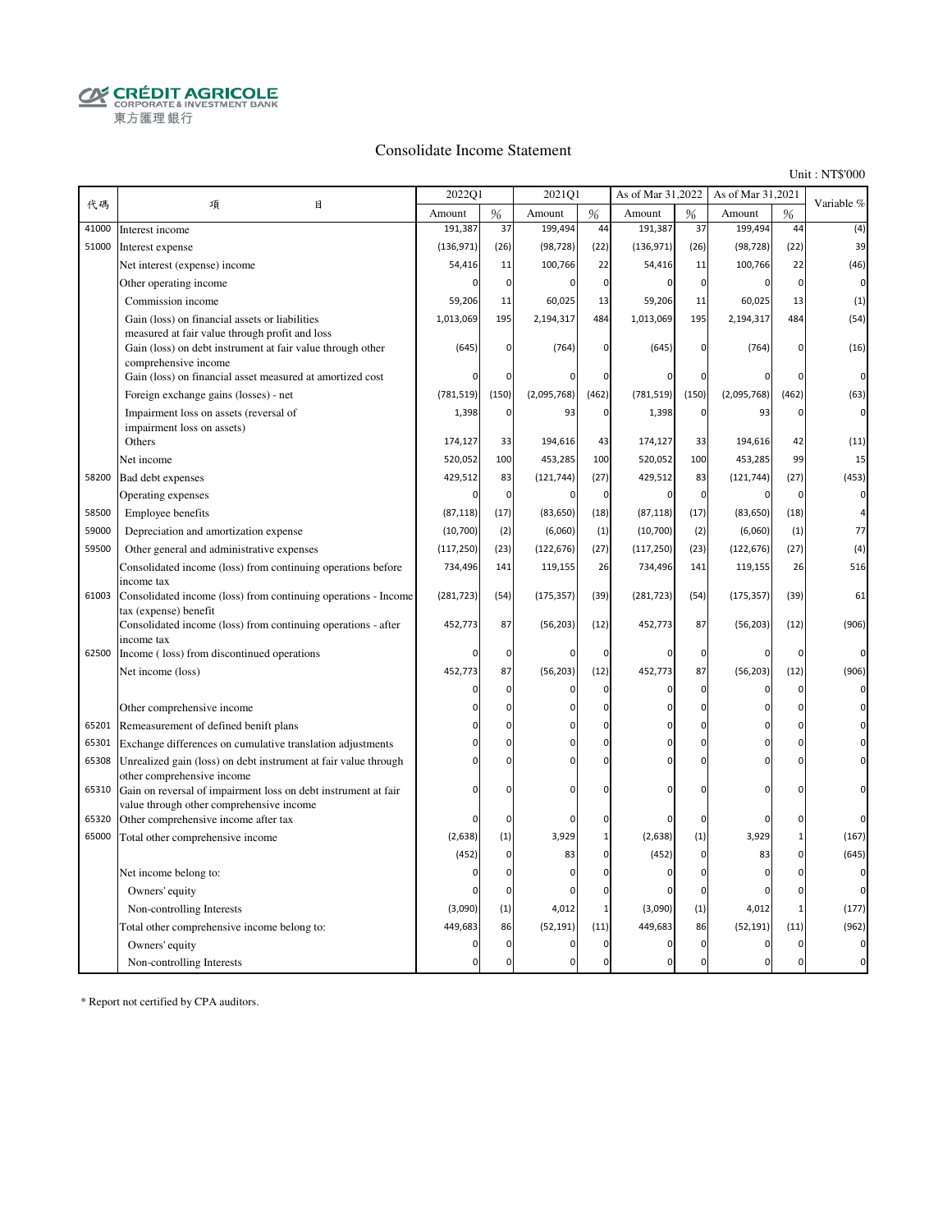**CRÉDIT AGRICOLE**<br>CORPORATE & INVESTMENT BANK 東方匯理銀行

#### Consolidate Income Statement

Unit : NT\$'000

|       |                                                                                                                                      | 2022Q1     |                               | 2021Q1       |               | As of Mar 31,2022 |               | As of Mar 31,2021 |                            | Variable %  |
|-------|--------------------------------------------------------------------------------------------------------------------------------------|------------|-------------------------------|--------------|---------------|-------------------|---------------|-------------------|----------------------------|-------------|
| 代碼    | 項<br>目                                                                                                                               | Amount     | %                             | Amount       | $\frac{0}{6}$ | Amount            | $\frac{9}{6}$ | Amount            | %                          |             |
| 41000 | Interest income                                                                                                                      | 191,387    | 37                            | 199,494      | 44            | 191,387           | 37            | 199,494           | 44                         | (4)         |
| 51000 | Interest expense                                                                                                                     | (136, 971) | (26)                          | (98, 728)    | (22)          | (136, 971)        | (26)          | (98, 728)         | (22)                       | 39          |
|       | Net interest (expense) income                                                                                                        | 54,416     | 11                            | 100,766      | 22            | 54,416            | 11            | 100,766           | 22                         | (46)        |
|       | Other operating income                                                                                                               | 0          | $\mathbf 0$                   | $\mathbf 0$  | $\mathbf 0$   | $\mathbf 0$       | $\mathbf 0$   | $\overline{0}$    | $\mathbf 0$                | $\mathbf 0$ |
|       | Commission income                                                                                                                    | 59,206     | 11                            | 60,025       | 13            | 59,206            | 11            | 60,025            | 13                         | (1)         |
|       | Gain (loss) on financial assets or liabilities                                                                                       | 1,013,069  | 195                           | 2,194,317    | 484           | 1,013,069         | 195           | 2,194,317         | 484                        | (54)        |
|       | measured at fair value through profit and loss<br>Gain (loss) on debt instrument at fair value through other<br>comprehensive income | (645)      | $\mathbf 0$                   | (764)        | $\mathbf{0}$  | (645)             | $\Omega$      | (764)             | $\mathbf 0$                | (16)        |
|       | Gain (loss) on financial asset measured at amortized cost                                                                            | O          | $\mathbf 0$                   |              | $\mathbf 0$   |                   | $\Omega$      |                   | $\mathbf 0$                | $\mathbf 0$ |
|       | Foreign exchange gains (losses) - net                                                                                                | (781, 519) | (150)                         | (2,095,768)  | (462)         | (781, 519)        | (150)         | (2,095,768)       | (462)                      | (63)        |
|       | Impairment loss on assets (reversal of                                                                                               | 1,398      | $\mathbf 0$                   | 93           | $\mathbf 0$   | 1,398             | 0             | 93                | $\mathbf 0$                | 0           |
|       | impairment loss on assets)                                                                                                           |            |                               |              |               |                   |               |                   |                            |             |
|       | Others                                                                                                                               | 174,127    | 33                            | 194,616      | 43            | 174,127           | 33            | 194,616           | 42                         | (11)        |
|       | Net income                                                                                                                           | 520,052    | 100                           | 453,285      | 100           | 520,052           | 100           | 453,285           | 99                         | 15          |
| 58200 | Bad debt expenses                                                                                                                    | 429,512    | 83                            | (121, 744)   | (27)          | 429,512           | 83            | (121, 744)        | (27)                       | (453)       |
|       | Operating expenses                                                                                                                   | 0          | $\mathbf 0$                   | $\mathbf 0$  | $\mathbf 0$   | $\mathbf 0$       | 0             | $\Omega$          | $\mathbf{C}$               | $\mathbf 0$ |
| 58500 | Employee benefits                                                                                                                    | (87, 118)  | (17)                          | (83, 650)    | (18)          | (87, 118)         | (17)          | (83, 650)         | (18)                       |             |
| 59000 | Depreciation and amortization expense                                                                                                | (10, 700)  | (2)                           | (6,060)      | (1)           | (10, 700)         | (2)           | (6,060)           | (1)                        | 77          |
| 59500 | Other general and administrative expenses                                                                                            | (117, 250) | (23)                          | (122, 676)   | (27)          | (117, 250)        | (23)          | (122, 676)        | (27)                       | (4)         |
|       | Consolidated income (loss) from continuing operations before                                                                         | 734,496    | 141                           | 119,155      | 26            | 734,496           | 141           | 119,155           | 26                         | 516         |
|       | income tax                                                                                                                           |            |                               |              |               |                   |               |                   |                            |             |
| 61003 | Consolidated income (loss) from continuing operations - Income<br>tax (expense) benefit                                              | (281, 723) | (54)                          | (175, 357)   | (39)          | (281, 723)        | (54)          | (175, 357)        | (39)                       | 61          |
|       | Consolidated income (loss) from continuing operations - after                                                                        | 452,773    | 87                            | (56, 203)    | (12)          | 452,773           | 87            | (56, 203)         | (12)                       | (906)       |
| 62500 | income tax<br>Income (loss) from discontinued operations                                                                             | O          | $\mathbf 0$                   | $\mathbf 0$  | 0             | $\Omega$          | 0             | $\Omega$          | $\mathsf{C}$               |             |
|       | Net income (loss)                                                                                                                    | 452,773    | 87                            | (56, 203)    | (12)          | 452,773           | 87            | (56, 203)         | (12)                       | (906)       |
|       |                                                                                                                                      | 0          | $\mathbf 0$                   | $\Omega$     | 0             | $\Omega$          | 0             | 0                 | $\mathbf 0$                |             |
|       |                                                                                                                                      | ŋ          | $\Omega$                      | $\Omega$     | $\Omega$      | $\Omega$          | $\mathbf 0$   | $\Omega$          | $\mathbf 0$                |             |
|       | Other comprehensive income                                                                                                           |            | $\overline{0}$                | $\Omega$     | $\mathbf{0}$  | n                 | $\Omega$      | O                 | $\mathbf 0$                |             |
| 65201 | Remeasurement of defined benift plans                                                                                                |            |                               | $\Omega$     | $\mathbf{0}$  | $\Omega$          | $\Omega$      | $\Omega$          |                            |             |
| 65301 | Exchange differences on cumulative translation adjustments                                                                           |            | $\mathbf 0$<br>$\overline{0}$ | C            | $\mathbf{0}$  |                   | $\Omega$      |                   | $\mathbf 0$<br>$\mathbf 0$ |             |
| 65308 | Unrealized gain (loss) on debt instrument at fair value through<br>other comprehensive income                                        | 0          |                               |              |               | $\Omega$          |               | $\Omega$          |                            |             |
| 65310 | Gain on reversal of impairment loss on debt instrument at fair                                                                       | O          | $\mathbf 0$                   | $\Omega$     | $\mathbf 0$   | $\Omega$          | $\Omega$      | $\Omega$          | 0                          |             |
| 65320 | value through other comprehensive income<br>Other comprehensive income after tax                                                     | O          | $\mathbf 0$                   | $\Omega$     | 0             |                   | 0             | $\Omega$          | 0                          |             |
| 65000 | Total other comprehensive income                                                                                                     | (2,638)    | (1)                           | 3,929        | $\mathbf{1}$  | (2,638)           | (1)           | 3,929             | $\mathbf 1$                | (167)       |
|       |                                                                                                                                      | (452)      | $\Omega$                      | 83           | $\Omega$      | (452)             | $\mathbf 0$   | 83                | $\Omega$                   | (645)       |
|       | Net income belong to:                                                                                                                | 0          | $\mathbf 0$                   | $\Omega$     | $\mathbf 0$   | $\mathbf 0$       | $\mathbf 0$   | $\Omega$          | $\mathbf 0$                |             |
|       | Owners' equity                                                                                                                       |            | $\mathbf 0$                   | $\mathsf{C}$ | $\mathbf{0}$  | 0                 | $\mathbf 0$   | $\Omega$          | $\mathfrak{c}$             |             |
|       | Non-controlling Interests                                                                                                            | (3,090)    | (1)                           | 4,012        | $\mathbf{1}$  | (3,090)           | (1)           | 4,012             | $\mathbf{1}$               | (177)       |
|       | Total other comprehensive income belong to:                                                                                          | 449,683    | 86                            | (52, 191)    | (11)          | 449,683           | 86            | (52, 191)         | (11)                       | (962)       |
|       | Owners' equity                                                                                                                       | 0          | $\mathbf 0$                   | $\mathbf 0$  | $\mathbf 0$   | $\mathbf 0$       | 0             | $\Omega$          | $\pmb{0}$                  |             |
|       | Non-controlling Interests                                                                                                            | $\Omega$   | $\Omega$                      | $\Omega$     | $\mathbf{0}$  | $\mathbf 0$       | $\mathbf 0$   | $\Omega$          | $\mathbf 0$                |             |
|       |                                                                                                                                      |            |                               |              |               |                   |               |                   |                            |             |

\* Report not certified by CPA auditors.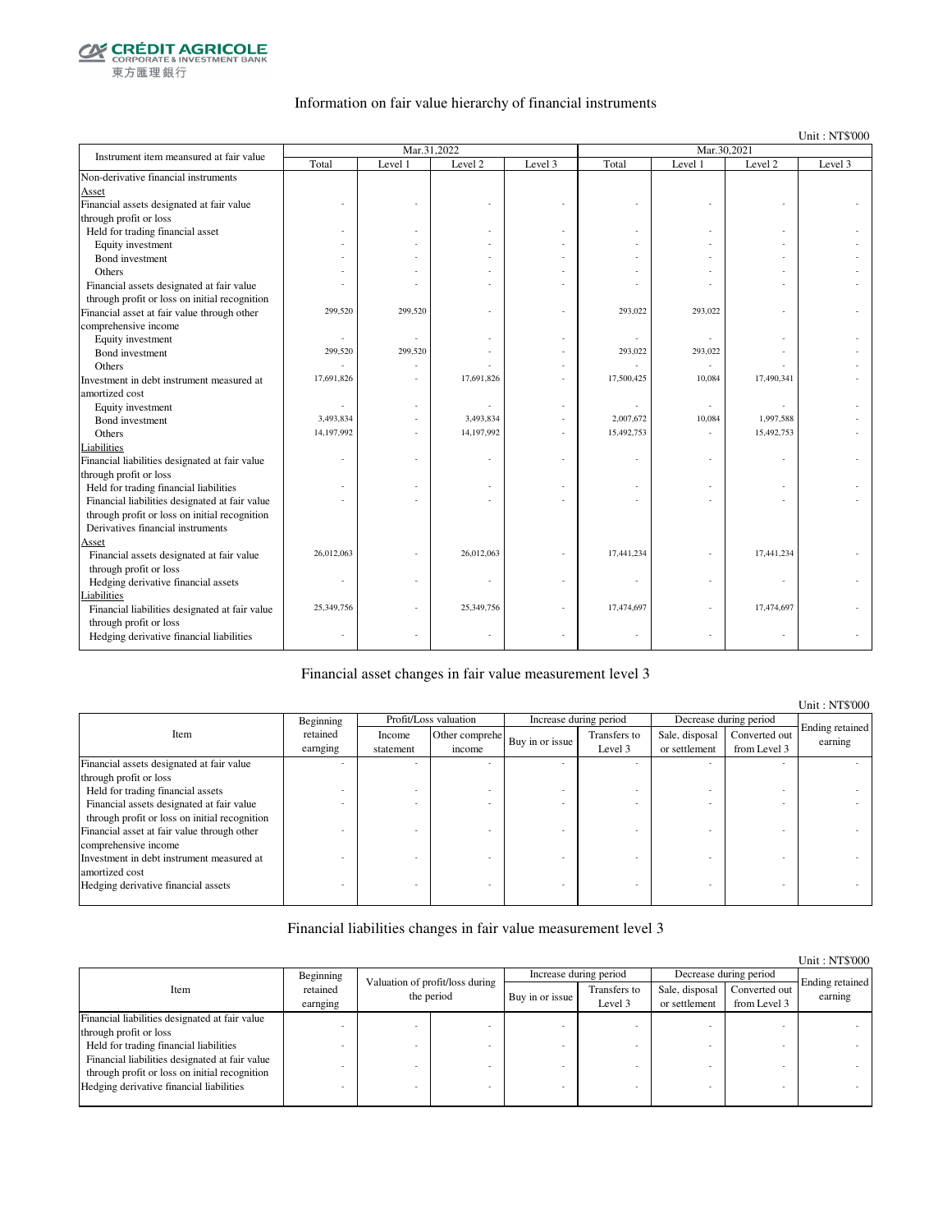

### Information on fair value hierarchy of financial instruments

Unit : NT\$'000

| Instrument item meansured at fair value        |            | Mar.31,2022 |            |         |            | Mar.30,2021 |            |         |
|------------------------------------------------|------------|-------------|------------|---------|------------|-------------|------------|---------|
|                                                | Total      | Level 1     | Level 2    | Level 3 | Total      | Level 1     | Level 2    | Level 3 |
| Non-derivative financial instruments           |            |             |            |         |            |             |            |         |
| Asset                                          |            |             |            |         |            |             |            |         |
| Financial assets designated at fair value      |            |             |            |         |            |             |            |         |
| through profit or loss                         |            |             |            |         |            |             |            |         |
| Held for trading financial asset               |            |             |            |         |            |             |            |         |
| Equity investment                              |            |             |            |         |            |             |            |         |
| Bond investment                                |            |             |            |         |            |             |            |         |
| Others                                         |            |             |            |         |            |             |            |         |
| Financial assets designated at fair value      |            |             |            |         |            |             |            |         |
| through profit or loss on initial recognition  |            |             |            |         |            |             |            |         |
| Financial asset at fair value through other    | 299,520    | 299,520     |            |         | 293,022    | 293,022     |            |         |
| comprehensive income                           |            |             |            |         |            |             |            |         |
| Equity investment                              | ä,         |             |            |         |            | $\sim$      |            |         |
| Bond investment                                | 299,520    | 299,520     |            |         | 293,022    | 293,022     |            |         |
| Others                                         |            |             |            |         |            | $\sim$      |            |         |
| Investment in debt instrument measured at      | 17,691,826 |             | 17,691,826 |         | 17,500,425 | 10,084      | 17,490,341 |         |
| amortized cost                                 |            |             |            |         |            |             |            |         |
| Equity investment                              | ä,         |             |            |         |            | $\sim$      |            |         |
| Bond investment                                | 3,493,834  |             | 3,493,834  |         | 2,007,672  | 10,084      | 1,997,588  |         |
| Others                                         | 14,197,992 |             | 14,197,992 |         | 15,492,753 |             | 15,492,753 |         |
| Liabilities                                    |            |             |            |         |            |             |            |         |
| Financial liabilities designated at fair value |            |             |            |         |            |             |            |         |
| through profit or loss                         |            |             |            |         |            |             |            |         |
| Held for trading financial liabilities         |            |             |            |         |            |             |            |         |
| Financial liabilities designated at fair value |            |             |            |         |            |             |            |         |
| through profit or loss on initial recognition  |            |             |            |         |            |             |            |         |
| Derivatives financial instruments              |            |             |            |         |            |             |            |         |
| Asset                                          |            |             |            |         |            |             |            |         |
| Financial assets designated at fair value      | 26,012,063 |             | 26,012,063 |         | 17,441,234 |             | 17,441,234 |         |
| through profit or loss                         |            |             |            |         |            |             |            |         |
| Hedging derivative financial assets            |            |             |            |         |            |             |            |         |
| Liabilities                                    |            |             |            |         |            |             |            |         |
| Financial liabilities designated at fair value | 25,349,756 |             | 25,349,756 |         | 17,474,697 |             | 17,474,697 |         |
| through profit or loss                         |            |             |            |         |            |             |            |         |
| Hedging derivative financial liabilities       |            |             |            |         |            |             |            |         |
|                                                |            |             |            |         |            |             |            |         |

#### Financial asset changes in fair value measurement level 3

|                                               |           |           |                       |                 |                        |                |                        | Unit: NT\$'000             |
|-----------------------------------------------|-----------|-----------|-----------------------|-----------------|------------------------|----------------|------------------------|----------------------------|
|                                               | Beginning |           | Profit/Loss valuation |                 | Increase during period |                | Decrease during period |                            |
| Item                                          | retained  | Income    | Other comprehe        | Buy in or issue | Transfers to           | Sale, disposal | Converted out          | Ending retained<br>earning |
|                                               | earnging  | statement | income                |                 | Level 3                | or settlement  | from Level 3           |                            |
| Financial assets designated at fair value     |           |           |                       |                 |                        |                |                        |                            |
| through profit or loss                        |           |           |                       |                 |                        |                |                        |                            |
| Held for trading financial assets             |           |           |                       |                 |                        |                |                        |                            |
| Financial assets designated at fair value     |           |           |                       |                 |                        |                |                        |                            |
| through profit or loss on initial recognition |           |           |                       |                 |                        |                |                        |                            |
| Financial asset at fair value through other   |           |           |                       |                 |                        |                |                        |                            |
| comprehensive income                          |           |           |                       |                 |                        |                |                        |                            |
| Investment in debt instrument measured at     |           |           |                       |                 |                        |                |                        |                            |
| amortized cost                                |           |           |                       |                 |                        |                |                        |                            |
| Hedging derivative financial assets           |           |           |                       |                 |                        |                |                        |                            |
|                                               |           |           |                       |                 |                        |                |                        |                            |

#### Financial liabilities changes in fair value measurement level 3

|                                                |                      |                                               |                 |                         |                                 |                               | Unit: NT\$'000             |
|------------------------------------------------|----------------------|-----------------------------------------------|-----------------|-------------------------|---------------------------------|-------------------------------|----------------------------|
|                                                | Beginning            |                                               |                 | Increase during period  |                                 | Decrease during period        |                            |
| Item                                           | retained<br>earnging | Valuation of profit/loss during<br>the period | Buy in or issue | Transfers to<br>Level 3 | Sale, disposal<br>or settlement | Converted out<br>from Level 3 | Ending retained<br>earning |
| Financial liabilities designated at fair value |                      |                                               |                 |                         |                                 |                               |                            |
| through profit or loss                         |                      |                                               |                 |                         |                                 |                               |                            |
| Held for trading financial liabilities         |                      |                                               |                 |                         |                                 |                               |                            |
| Financial liabilities designated at fair value |                      |                                               |                 |                         |                                 |                               |                            |
| through profit or loss on initial recognition  |                      |                                               |                 |                         |                                 |                               |                            |
| Hedging derivative financial liabilities       |                      |                                               |                 |                         |                                 |                               |                            |
|                                                |                      |                                               |                 |                         |                                 |                               |                            |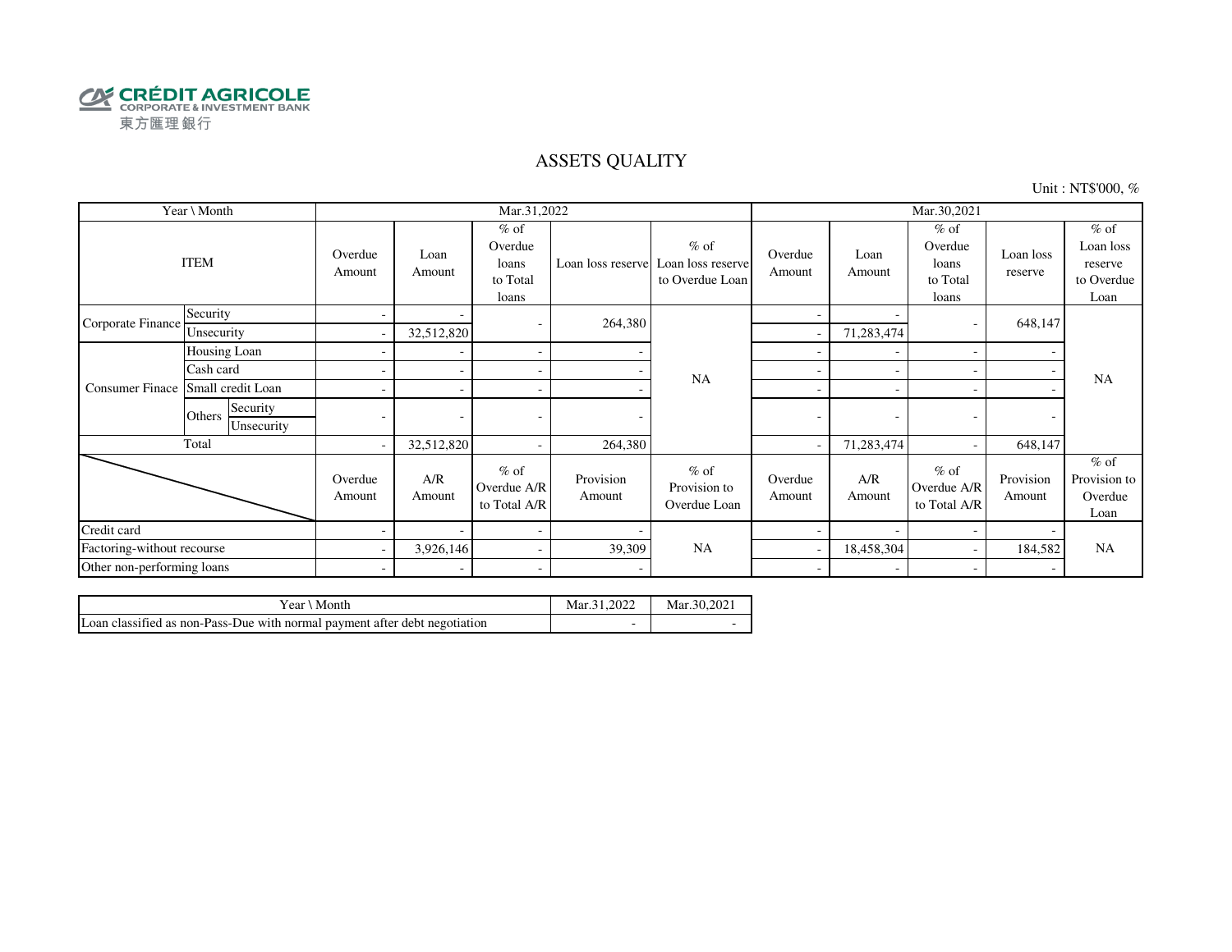

### ASSETS QUALITY

Unit : NT\$'000, %

|                            | Year \ Month                     |                          |                          | Mar.31,2022                                     |                     |                                                                  |                   |                          | Mar.30,2021                                     |                      |                                                      |
|----------------------------|----------------------------------|--------------------------|--------------------------|-------------------------------------------------|---------------------|------------------------------------------------------------------|-------------------|--------------------------|-------------------------------------------------|----------------------|------------------------------------------------------|
|                            | <b>ITEM</b>                      | Overdue<br>Amount        | Loan<br>Amount           | $%$ of<br>Overdue<br>loans<br>to Total<br>loans |                     | $%$ of<br>Loan loss reserve Loan loss reserve<br>to Overdue Loan | Overdue<br>Amount | Loan<br>Amount           | $%$ of<br>Overdue<br>loans<br>to Total<br>loans | Loan loss<br>reserve | $%$ of<br>Loan loss<br>reserve<br>to Overdue<br>Loan |
| Corporate Finance          | Security                         | -                        |                          | ۰                                               | 264,380             |                                                                  |                   |                          |                                                 | 648,147              |                                                      |
|                            | Unsecurity                       | -                        | 32,512,820               |                                                 |                     |                                                                  |                   | 71,283,474               |                                                 |                      |                                                      |
|                            | Housing Loan                     |                          |                          | $\sim$                                          |                     |                                                                  |                   | $\overline{\phantom{0}}$ |                                                 |                      |                                                      |
|                            | Cash card                        |                          |                          | $\overline{\phantom{a}}$                        |                     | <b>NA</b>                                                        |                   |                          |                                                 |                      | <b>NA</b>                                            |
| <b>Consumer Finace</b>     | Small credit Loan                |                          |                          | $\sim$                                          |                     |                                                                  | ٠                 |                          |                                                 |                      |                                                      |
|                            | Security<br>Others<br>Unsecurity |                          | $\overline{\phantom{a}}$ |                                                 |                     |                                                                  | ٠                 | ٠                        |                                                 |                      |                                                      |
|                            | Total                            | $\overline{\phantom{a}}$ | 32,512,820               | $\overline{\phantom{a}}$                        | 264,380             |                                                                  |                   | 71,283,474               |                                                 | 648,147              |                                                      |
|                            |                                  | Overdue<br>Amount        | A/R<br>Amount            | $%$ of<br>Overdue A/R<br>to Total A/R           | Provision<br>Amount | $%$ of<br>Provision to<br>Overdue Loan                           | Overdue<br>Amount | A/R<br>Amount            | $%$ of<br>Overdue A/R<br>to Total A/R           | Provision<br>Amount  | $%$ of<br>Provision to<br>Overdue<br>Loan            |
| Credit card                |                                  |                          |                          | $\sim$                                          |                     |                                                                  |                   |                          |                                                 |                      |                                                      |
|                            | Factoring-without recourse       |                          | 3,926,146                | $\sim$                                          | 39,309              | <b>NA</b>                                                        |                   | 18,458,304               |                                                 | 184,582              | <b>NA</b>                                            |
| Other non-performing loans |                                  | $\overline{\phantom{a}}$ |                          | $\overline{\phantom{a}}$                        |                     |                                                                  | ۰                 |                          |                                                 |                      |                                                      |

| . Month<br>Year                                                            | Mar.31.2022 | Mar.30.2021 |
|----------------------------------------------------------------------------|-------------|-------------|
| Loan classified as non-Pass-Due with normal payment after debt negotiation | -           |             |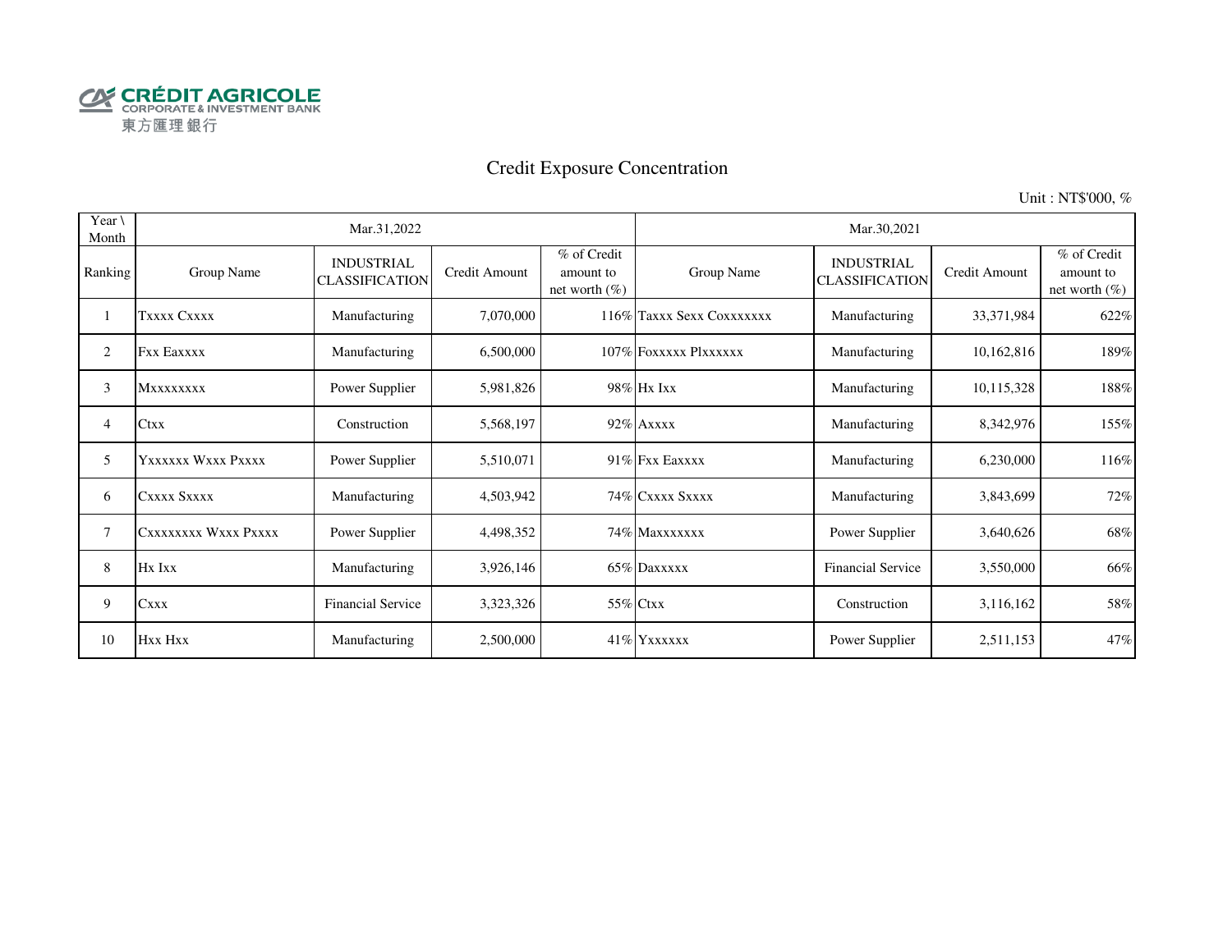

# Credit Exposure Concentration

Unit : NT\$'000, %

| Year $\setminus$<br>Month |                      | Mar.31,2022                                |               |                                              |                           | Mar.30,2021                                |               |                                               |
|---------------------------|----------------------|--------------------------------------------|---------------|----------------------------------------------|---------------------------|--------------------------------------------|---------------|-----------------------------------------------|
| Ranking                   | Group Name           | <b>INDUSTRIAL</b><br><b>CLASSIFICATION</b> | Credit Amount | % of Credit<br>amount to<br>net worth $(\%)$ | Group Name                | <b>INDUSTRIAL</b><br><b>CLASSIFICATION</b> | Credit Amount | % of Credit<br>amount to<br>net worth $(\% )$ |
|                           | Txxxx Cxxxx          | Manufacturing                              | 7,070,000     |                                              | 116% Taxxx Sexx Coxxxxxxx | Manufacturing                              | 33,371,984    | 622%                                          |
| 2                         | <b>Fxx Eaxxxx</b>    | Manufacturing                              | 6,500,000     |                                              | 107% FOXXXXX Plxxxxxx     | Manufacturing                              | 10,162,816    | 189%                                          |
| 3                         | <b>Mxxxxxxxx</b>     | Power Supplier                             | 5,981,826     |                                              | 98% Hx Ixx                | Manufacturing                              | 10,115,328    | 188%                                          |
| 4                         | <b>Ctxx</b>          | Construction                               | 5,568,197     |                                              | 92% Axxxx                 | Manufacturing                              | 8,342,976     | 155%                                          |
| 5                         | YXXXXXX WXXX PXXXX   | Power Supplier                             | 5,510,071     |                                              | 91% Fxx Eaxxxx            | Manufacturing                              | 6,230,000     | 116%                                          |
| 6                         | CXXXX SXXXX          | Manufacturing                              | 4,503,942     |                                              | 74% CXXXX SXXXX           | Manufacturing                              | 3,843,699     | 72%                                           |
| 7                         | CXXXXXXXX WXXX PXXXX | Power Supplier                             | 4,498,352     |                                              | 74% Maxxxxxxx             | Power Supplier                             | 3,640,626     | 68%                                           |
| 8                         | Hx Ixx               | Manufacturing                              | 3,926,146     |                                              | 65% Daxxxxx               | <b>Financial Service</b>                   | 3,550,000     | 66%                                           |
| 9                         | <b>Cxxx</b>          | <b>Financial Service</b>                   | 3,323,326     |                                              | 55% Ctxx                  | Construction                               | 3,116,162     | 58%                                           |
| 10                        | Hxx Hxx              | Manufacturing                              | 2,500,000     |                                              | 41% YXXXXX                | Power Supplier                             | 2,511,153     | 47%                                           |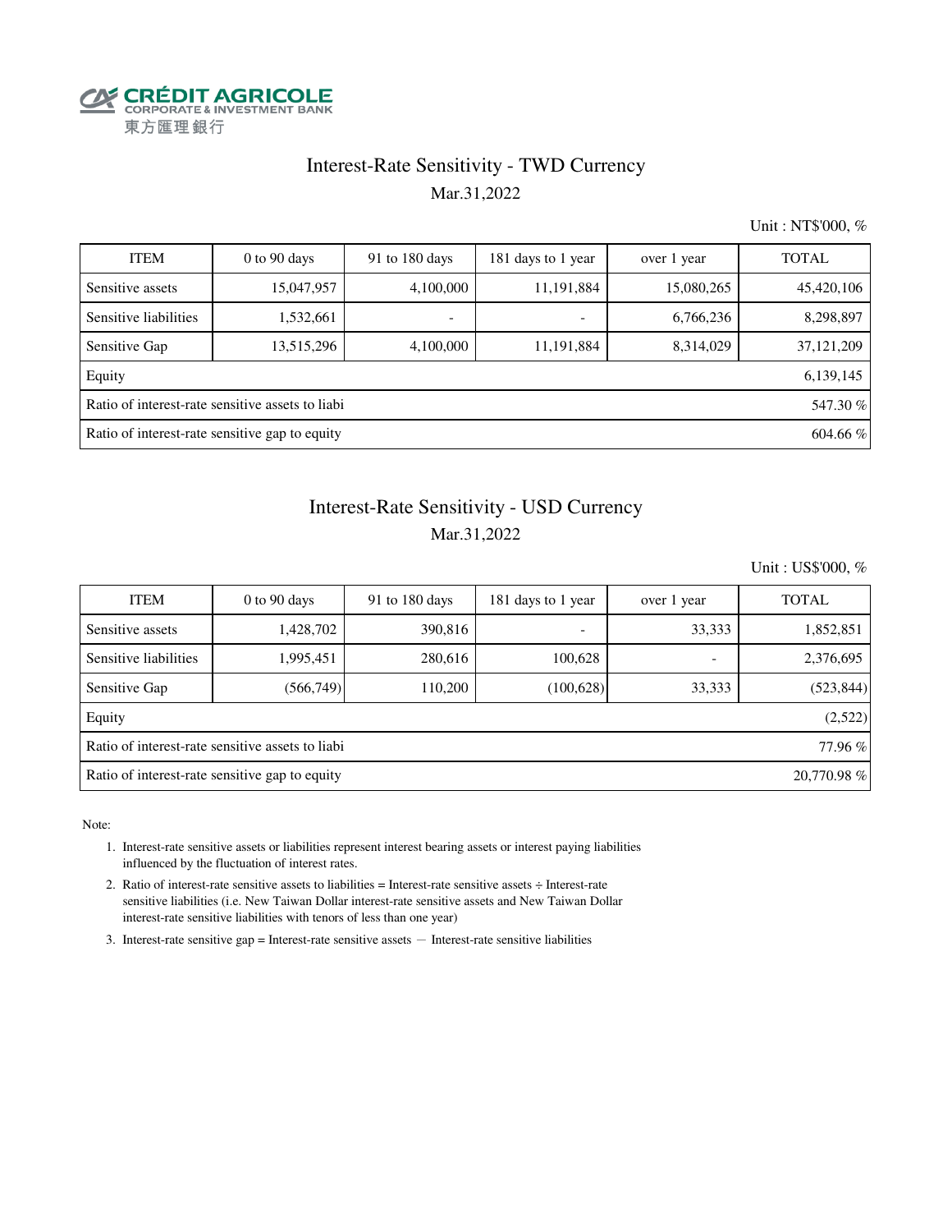

### Interest-Rate Sensitivity - TWD Currency Mar.31,2022

Unit : NT\$'000, %

| <b>ITEM</b>                                                | $0$ to $90$ days | 91 to 180 days           | 181 days to 1 year       | over 1 year | <b>TOTAL</b> |  |  |  |
|------------------------------------------------------------|------------------|--------------------------|--------------------------|-------------|--------------|--|--|--|
| Sensitive assets                                           | 15,047,957       | 4,100,000                | 11,191,884               | 15,080,265  | 45,420,106   |  |  |  |
| Sensitive liabilities                                      | 1,532,661        | $\overline{\phantom{a}}$ | $\overline{\phantom{a}}$ | 6,766,236   | 8,298,897    |  |  |  |
| Sensitive Gap                                              | 13,515,296       | 4,100,000                | 11,191,884               | 8,314,029   | 37,121,209   |  |  |  |
| Equity                                                     |                  |                          |                          |             | 6,139,145    |  |  |  |
| Ratio of interest-rate sensitive assets to liabi           |                  |                          |                          |             |              |  |  |  |
| Ratio of interest-rate sensitive gap to equity<br>604.66 % |                  |                          |                          |             |              |  |  |  |

### Interest-Rate Sensitivity - USD Currency Mar.31,2022

Unit : US\$'000, %

| <b>ITEM</b>                                                   | $0$ to $90$ days | 91 to 180 days | 181 days to 1 year       | over 1 year              | <b>TOTAL</b> |  |  |  |  |
|---------------------------------------------------------------|------------------|----------------|--------------------------|--------------------------|--------------|--|--|--|--|
| Sensitive assets                                              | 1,428,702        | 390,816        | $\overline{\phantom{a}}$ | 33,333                   | 1,852,851    |  |  |  |  |
| Sensitive liabilities                                         | 1,995,451        | 280,616        | 100,628                  | $\overline{\phantom{0}}$ | 2,376,695    |  |  |  |  |
| Sensitive Gap                                                 | (566, 749)       | 110.200        | (100, 628)               | 33,333                   | (523, 844)   |  |  |  |  |
| Equity                                                        |                  |                |                          |                          | (2,522)      |  |  |  |  |
| Ratio of interest-rate sensitive assets to liabi              |                  |                |                          |                          |              |  |  |  |  |
| Ratio of interest-rate sensitive gap to equity<br>20,770.98 % |                  |                |                          |                          |              |  |  |  |  |

Note:

- 1. Interest-rate sensitive assets or liabilities represent interest bearing assets or interest paying liabilities influenced by the fluctuation of interest rates.
- 2. Ratio of interest-rate sensitive assets to liabilities = Interest-rate sensitive assets ÷ Interest-rate sensitive liabilities (i.e. New Taiwan Dollar interest-rate sensitive assets and New Taiwan Dollar interest-rate sensitive liabilities with tenors of less than one year)
- 3. Interest-rate sensitive gap = Interest-rate sensitive assets  $-$  Interest-rate sensitive liabilities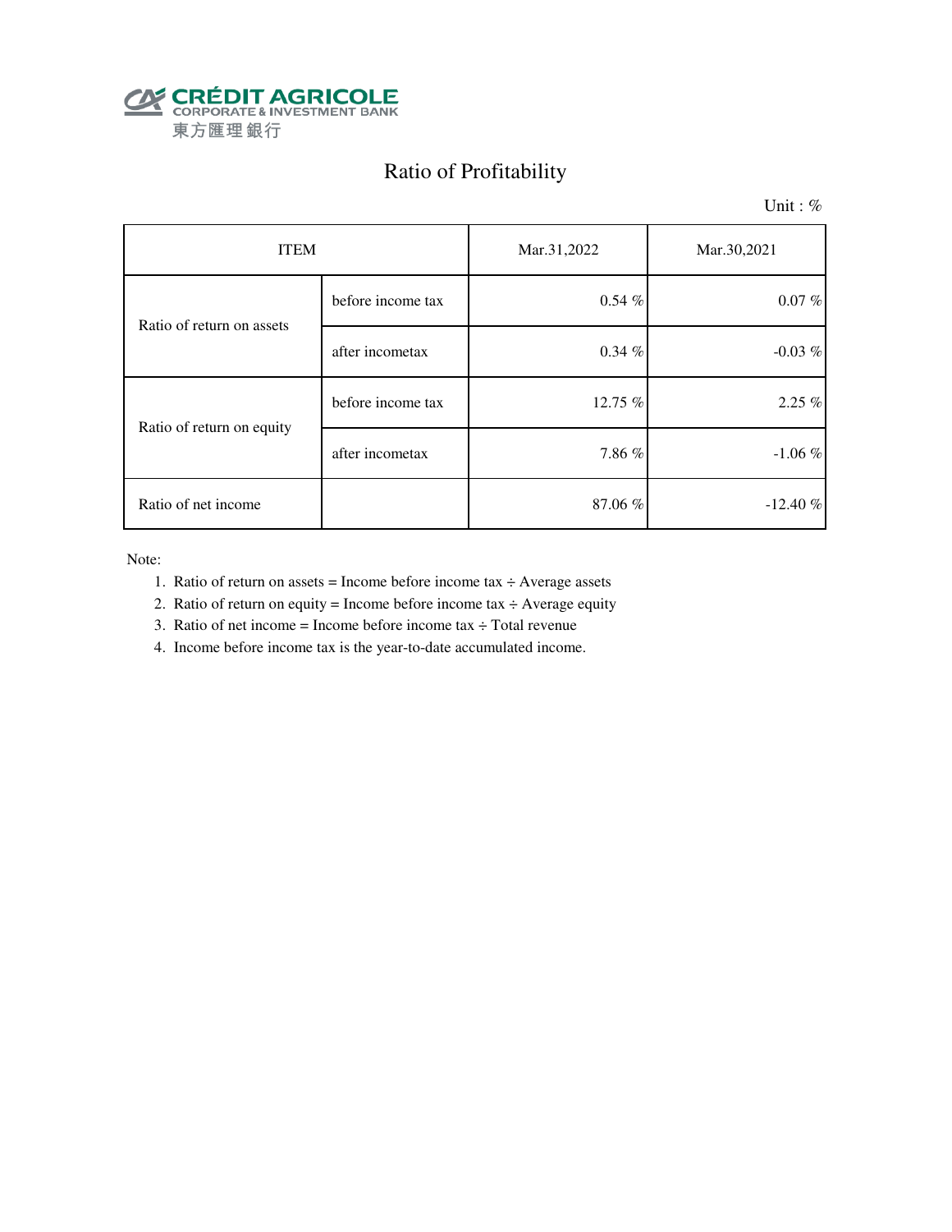

# Ratio of Profitability

Unit: %

| <b>ITEM</b>               |                   | Mar.31,2022 | Mar.30,2021 |
|---------------------------|-------------------|-------------|-------------|
| Ratio of return on assets | before income tax | $0.54\%$    | $0.07\%$    |
|                           | after incometax   | $0.34 \%$   | $-0.03\%$   |
| Ratio of return on equity | before income tax | 12.75 %     | $2.25\%$    |
|                           | after incometax   | 7.86%       | $-1.06\%$   |
| Ratio of net income       |                   | 87.06%      | $-12.40%$   |

Note:

- 1. Ratio of return on assets = Income before income tax  $\div$  Average assets
- 2. Ratio of return on equity = Income before income tax  $\div$  Average equity
- 3. Ratio of net income = Income before income tax  $\div$  Total revenue
- 4. Income before income tax is the year-to-date accumulated income.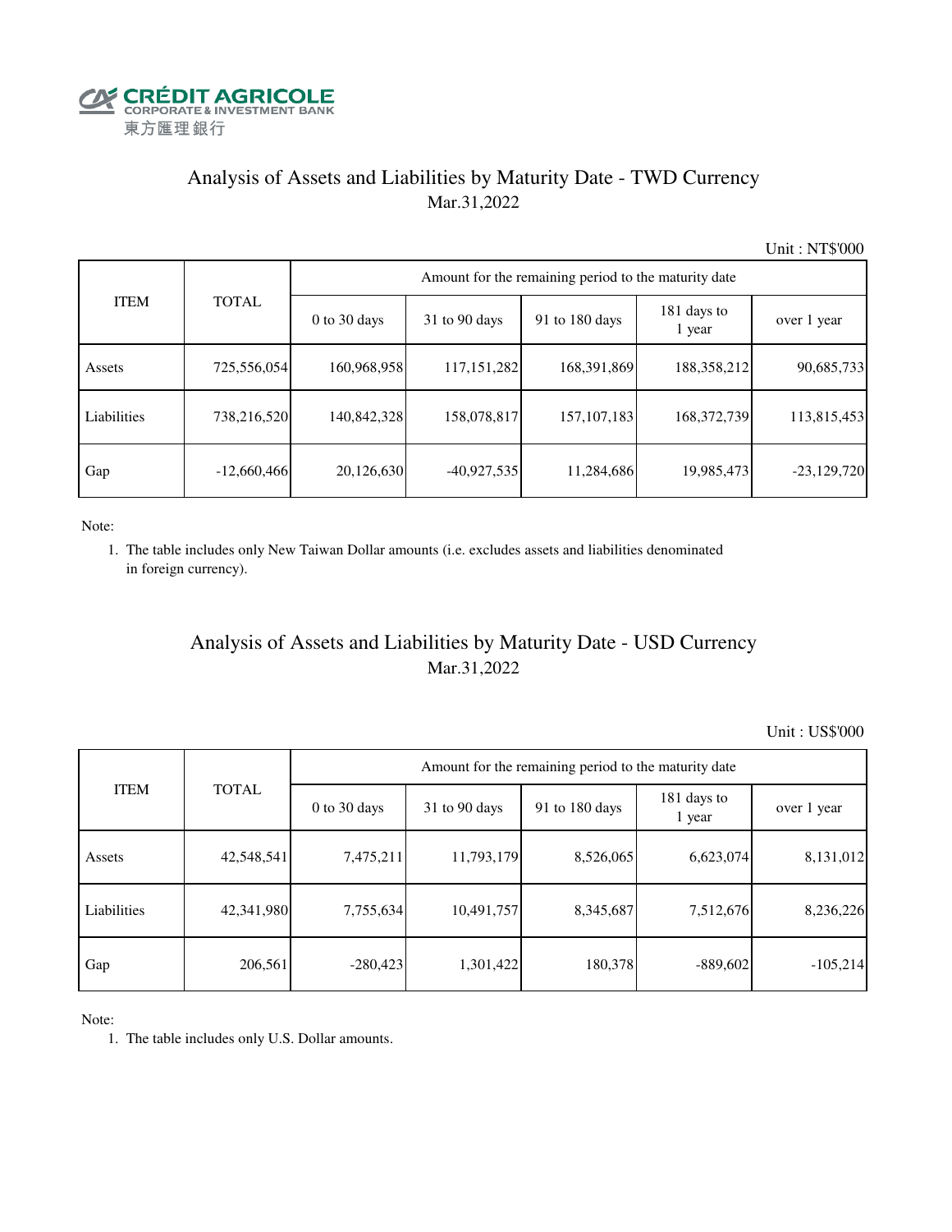

# Analysis of Assets and Liabilities by Maturity Date - TWD Currency Mar.31,2022

Unit : NT\$'000

|             |               |                | Amount for the remaining period to the maturity date |                |                       |               |  |  |  |  |  |  |
|-------------|---------------|----------------|------------------------------------------------------|----------------|-----------------------|---------------|--|--|--|--|--|--|
| <b>ITEM</b> | <b>TOTAL</b>  | $0$ to 30 days | $31$ to 90 days                                      | 91 to 180 days | 181 days to<br>1 year | over 1 year   |  |  |  |  |  |  |
| Assets      | 725,556,054   | 160,968,958    | 117, 151, 282                                        | 168,391,869    | 188,358,212           | 90,685,733    |  |  |  |  |  |  |
| Liabilities | 738,216,520   | 140,842,328    | 158,078,817                                          | 157, 107, 183  | 168,372,739           | 113,815,453   |  |  |  |  |  |  |
| Gap         | $-12,660,466$ | 20,126,630     | $-40,927,535$                                        | 11,284,686     | 19,985,473            | $-23,129,720$ |  |  |  |  |  |  |

Note:

 1. The table includes only New Taiwan Dollar amounts (i.e. excludes assets and liabilities denominated in foreign currency).

# Analysis of Assets and Liabilities by Maturity Date - USD Currency Mar.31,2022

Unit : US\$'000

| <b>ITEM</b> | <b>TOTAL</b> | Amount for the remaining period to the maturity date |                 |                |                       |             |  |  |
|-------------|--------------|------------------------------------------------------|-----------------|----------------|-----------------------|-------------|--|--|
|             |              | $0$ to 30 days                                       | $31$ to 90 days | 91 to 180 days | 181 days to<br>1 year | over 1 year |  |  |
| Assets      | 42,548,541   | 7,475,211                                            | 11,793,179      | 8,526,065      | 6,623,074             | 8,131,012   |  |  |
| Liabilities | 42,341,980   | 7,755,634                                            | 10,491,757      | 8,345,687      | 7,512,676             | 8,236,226   |  |  |
| Gap         | 206,561      | $-280,423$                                           | 1,301,422       | 180,378        | $-889,602$            | $-105,214$  |  |  |

Note:

1. The table includes only U.S. Dollar amounts.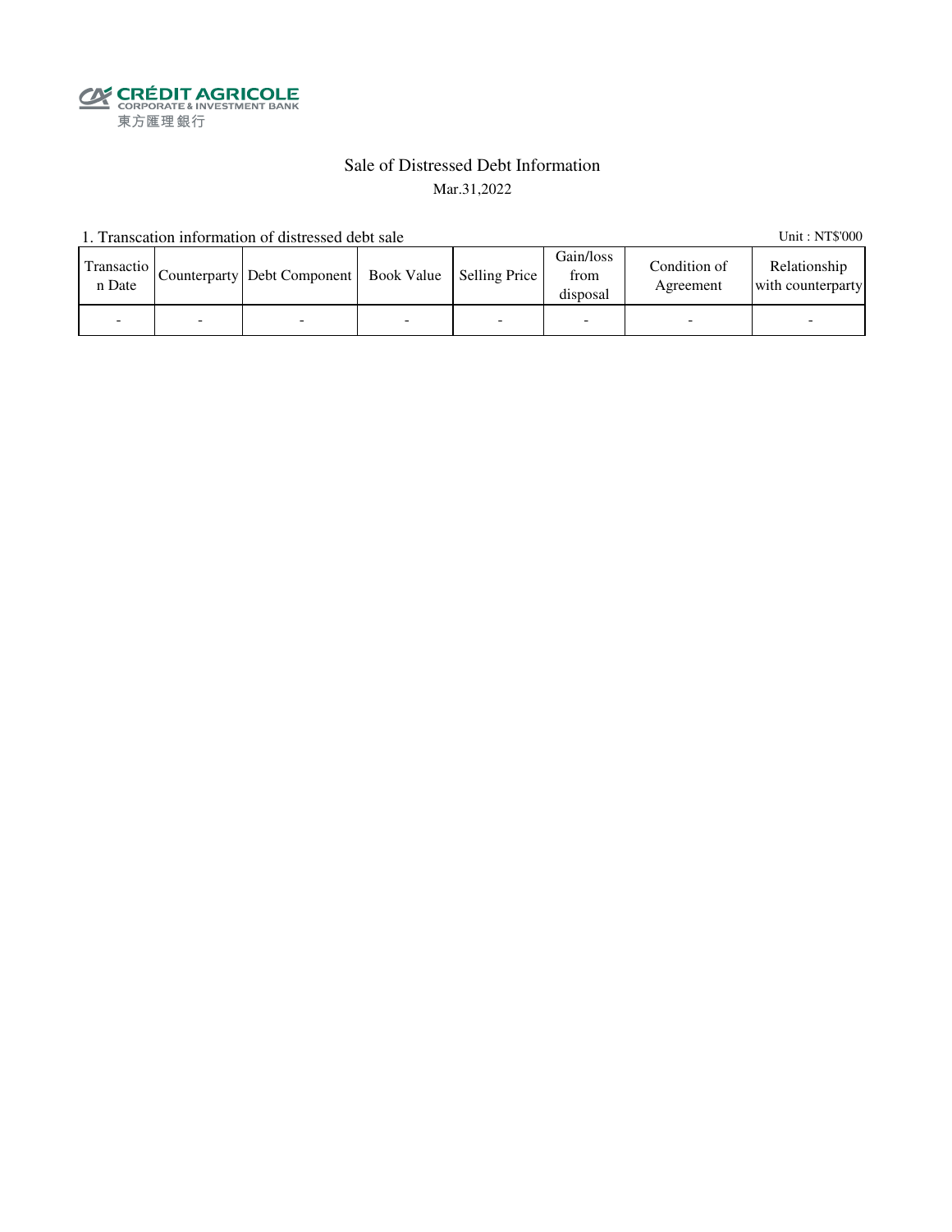**SECRÉDIT AGRICOLE**<br>
CORPORATE& INVESTMENT BANK<br>
東方匯理銀行

### Sale of Distressed Debt Information Mar.31,2022

1. Transcation information of distressed debt sale Unit: NT\$'000

| Transactio<br>n Date | Counterparty   Debt Component   Book Value   Selling Price |  | Gain/loss<br>from<br>disposal | Condition of<br>Agreement | Relationship<br>with counterparty |
|----------------------|------------------------------------------------------------|--|-------------------------------|---------------------------|-----------------------------------|
|                      |                                                            |  |                               |                           |                                   |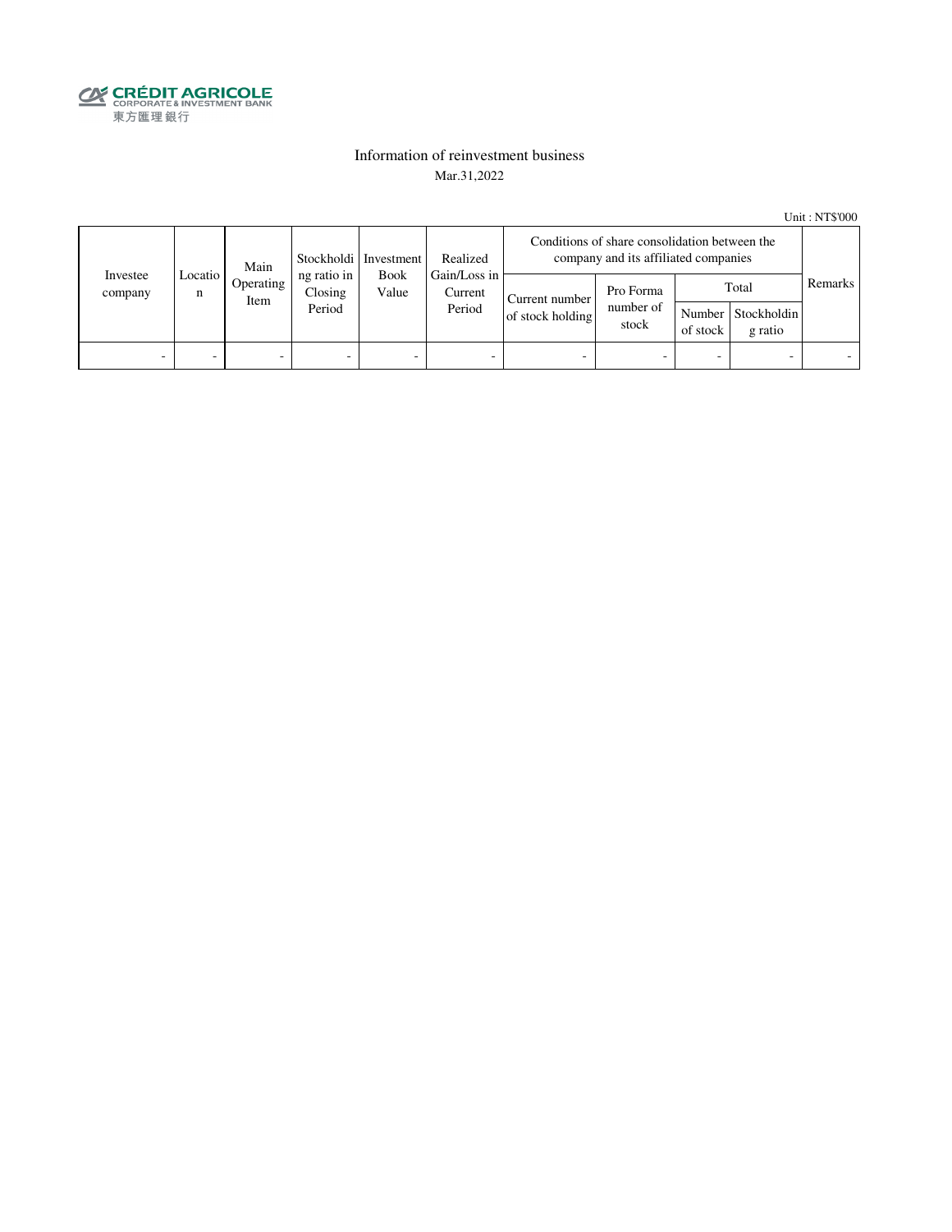

### Information of reinvestment business Mar.31,2022

Unit : NT\$'000

|                     | Main<br>Locatio I<br>n<br>Item | Stockholdi   Investment | Realized                         | Conditions of share consolidation between the<br>company and its affiliated companies |                                    |                                 |          |                                        |         |  |
|---------------------|--------------------------------|-------------------------|----------------------------------|---------------------------------------------------------------------------------------|------------------------------------|---------------------------------|----------|----------------------------------------|---------|--|
| Investee<br>company |                                | Operating               | ng ratio in<br>Closing<br>Period | Gain/Loss in<br><b>Book</b><br>Value<br>Current<br>Period                             | Current number<br>of stock holding | Pro Forma<br>number of<br>stock | of stock | Total<br>Number Stockholdin<br>g ratio | Remarks |  |
| -                   | -                              | -                       | $\overline{\phantom{0}}$         | -                                                                                     | $\overline{\phantom{a}}$           | -                               |          | $\overline{\phantom{0}}$               |         |  |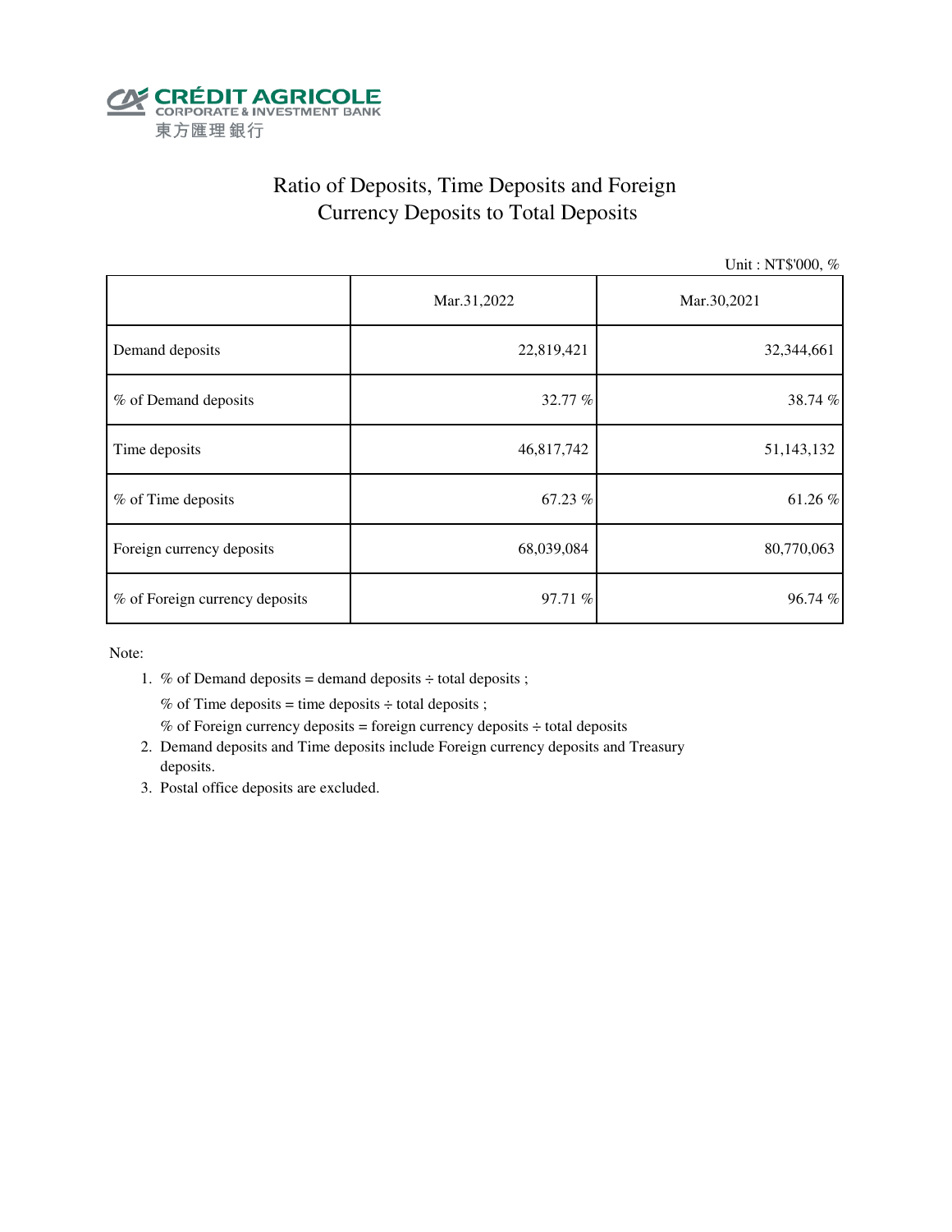

# Ratio of Deposits, Time Deposits and Foreign Currency Deposits to Total Deposits

Unit : NT\$'000, %

|                                | Mar.31,2022 | Mar.30,2021 |  |  |
|--------------------------------|-------------|-------------|--|--|
| Demand deposits                | 22,819,421  | 32,344,661  |  |  |
| % of Demand deposits           | 32.77 %     | 38.74%      |  |  |
| Time deposits                  | 46,817,742  | 51,143,132  |  |  |
| % of Time deposits             | 67.23 %     | 61.26%      |  |  |
| Foreign currency deposits      | 68,039,084  | 80,770,063  |  |  |
| % of Foreign currency deposits | 97.71 %     | 96.74%      |  |  |

Note:

1. % of Demand deposits = demand deposits  $\div$  total deposits ;

% of Time deposits = time deposits  $\div$  total deposits ;

- % of Foreign currency deposits = foreign currency deposits  $\div$  total deposits
- 2. Demand deposits and Time deposits include Foreign currency deposits and Treasury deposits.
- 3. Postal office deposits are excluded.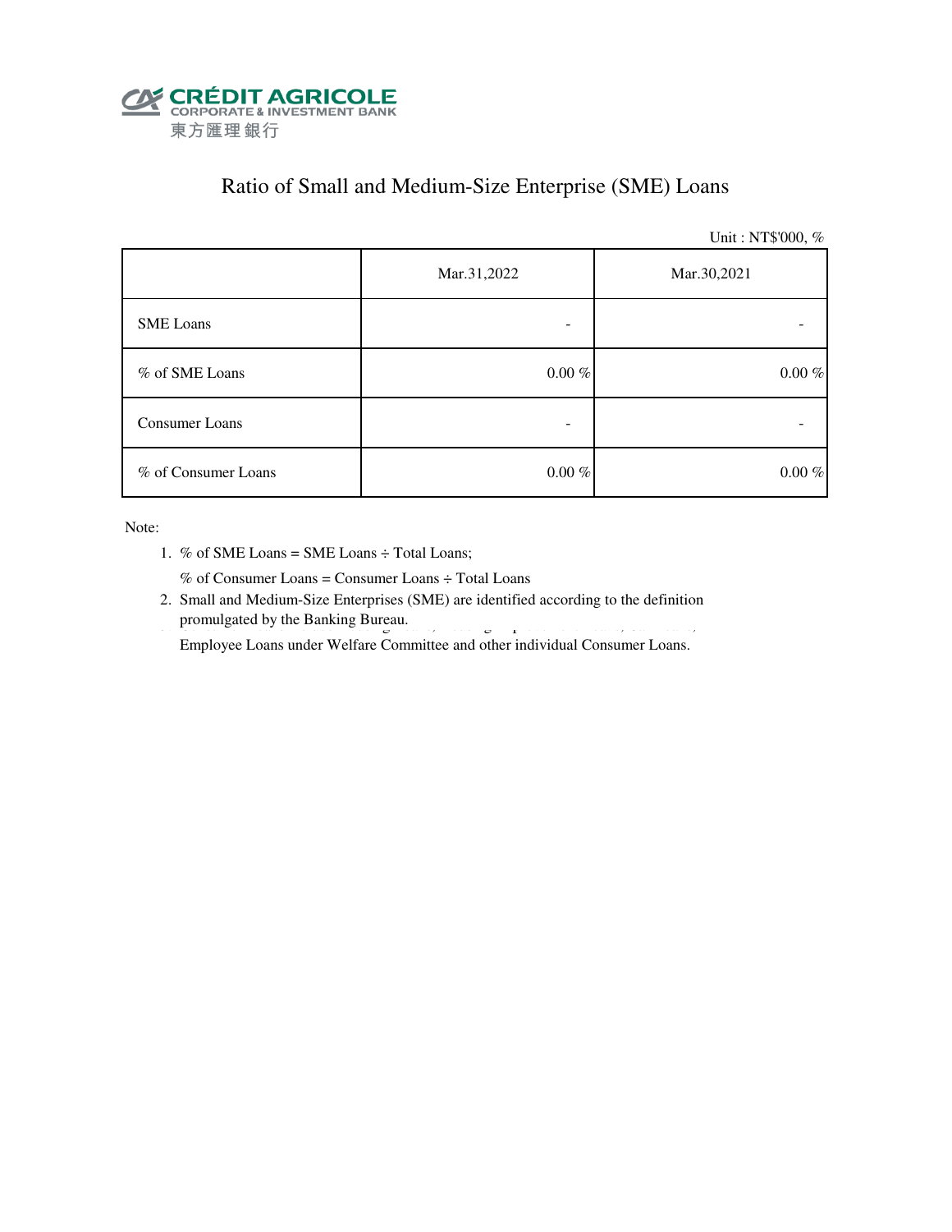

### Ratio of Small and Medium-Size Enterprise (SME) Loans

Unit : NT\$'000, %

|                     | Mar.31,2022 | Mar.30,2021 |  |  |
|---------------------|-------------|-------------|--|--|
| <b>SME</b> Loans    |             |             |  |  |
| % of SME Loans      | $0.00~\%$   | $0.00~\%$   |  |  |
| Consumer Loans      |             |             |  |  |
| % of Consumer Loans | $0.00~\%$   | $0.00~\%$   |  |  |

Note:

1. % of SME Loans = SME Loans ÷ Total Loans;

% of Consumer Loans = Consumer Loans ÷ Total Loans

 2. Small and Medium-Size Enterprises (SME) are identified according to the definition promulgated by the Banking Bureau. 3. Consumer Loans include Housing Improvement Loans, Housing Improvement Loans, Car Loans, Car Loans, Car Loans, Car Loans, Car Loans, Car Loans, Car Loans, Car Loans, Car Loans, Car Loan

Employee Loans under Welfare Committee and other individual Consumer Loans.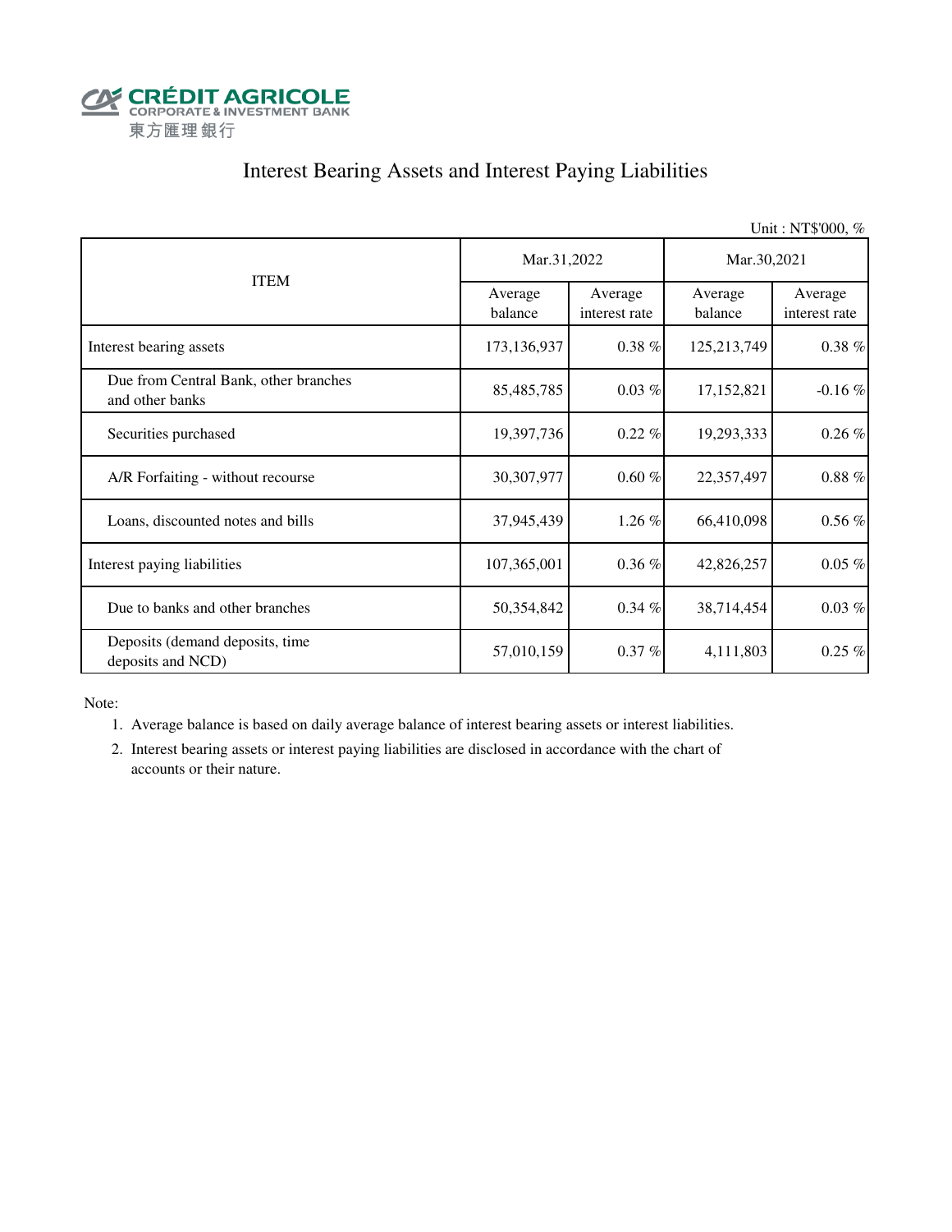

# Interest Bearing Assets and Interest Paying Liabilities

|                                                          |                    |                          |                    | Unit: NT\$'000, %        |  |
|----------------------------------------------------------|--------------------|--------------------------|--------------------|--------------------------|--|
|                                                          | Mar.31,2022        |                          | Mar.30,2021        |                          |  |
| <b>ITEM</b>                                              | Average<br>balance | Average<br>interest rate | Average<br>balance | Average<br>interest rate |  |
| Interest bearing assets                                  | 173,136,937        | $0.38 \%$                | 125,213,749        | $0.38\%$                 |  |
| Due from Central Bank, other branches<br>and other banks | 85,485,785         | $0.03\%$                 | 17,152,821         | $-0.16\%$                |  |
| Securities purchased                                     | 19,397,736         | $0.22\%$                 | 19,293,333         | $0.26\%$                 |  |
| A/R Forfaiting - without recourse                        | 30,307,977         | 0.60%                    | 22,357,497         | $0.88~\%$                |  |
| Loans, discounted notes and bills                        | 37,945,439         | 1.26 %                   | 66,410,098         | $0.56\%$                 |  |
| Interest paying liabilities                              | 107,365,001        | $0.36\%$                 | 42,826,257         | $0.05\%$                 |  |
| Due to banks and other branches                          | 50,354,842         | $0.34 \%$                | 38,714,454         | $0.03\%$                 |  |
| Deposits (demand deposits, time<br>deposits and NCD)     | 57,010,159         | $0.37 \%$                | 4,111,803          | $0.25\%$                 |  |

Note:

1. Average balance is based on daily average balance of interest bearing assets or interest liabilities.

 2. Interest bearing assets or interest paying liabilities are disclosed in accordance with the chart of accounts or their nature.